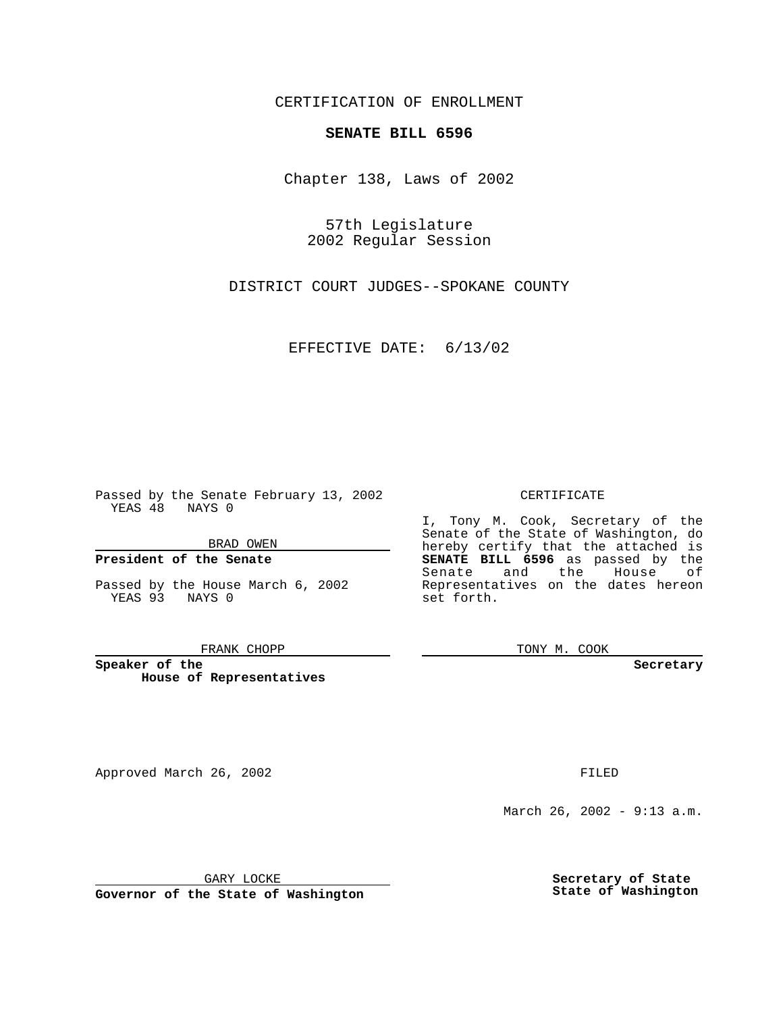CERTIFICATION OF ENROLLMENT

# **SENATE BILL 6596**

Chapter 138, Laws of 2002

57th Legislature 2002 Regular Session

DISTRICT COURT JUDGES--SPOKANE COUNTY

EFFECTIVE DATE: 6/13/02

Passed by the Senate February 13, 2002 YEAS 48 NAYS 0

BRAD OWEN

### **President of the Senate**

Passed by the House March 6, 2002 YEAS 93 NAYS 0

#### FRANK CHOPP

**Speaker of the House of Representatives**

Approved March 26, 2002 **FILED** 

### CERTIFICATE

I, Tony M. Cook, Secretary of the Senate of the State of Washington, do hereby certify that the attached is **SENATE BILL 6596** as passed by the Senate and the House of Representatives on the dates hereon set forth.

TONY M. COOK

**Secretary**

March 26, 2002 - 9:13 a.m.

GARY LOCKE

**Governor of the State of Washington**

**Secretary of State State of Washington**